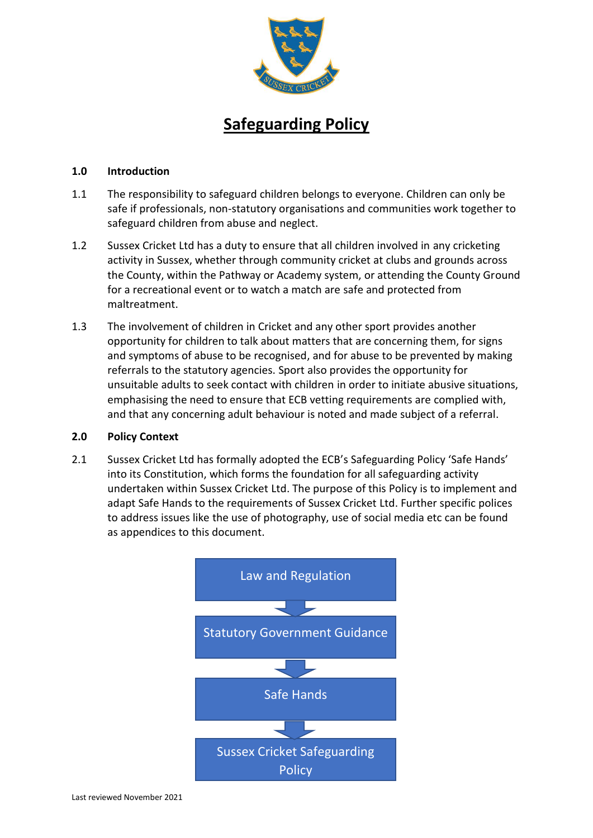

# **Safeguarding Policy**

### **1.0 Introduction**

- 1.1 The responsibility to safeguard children belongs to everyone. Children can only be safe if professionals, non-statutory organisations and communities work together to safeguard children from abuse and neglect.
- 1.2 Sussex Cricket Ltd has a duty to ensure that all children involved in any cricketing activity in Sussex, whether through community cricket at clubs and grounds across the County, within the Pathway or Academy system, or attending the County Ground for a recreational event or to watch a match are safe and protected from maltreatment.
- 1.3 The involvement of children in Cricket and any other sport provides another opportunity for children to talk about matters that are concerning them, for signs and symptoms of abuse to be recognised, and for abuse to be prevented by making referrals to the statutory agencies. Sport also provides the opportunity for unsuitable adults to seek contact with children in order to initiate abusive situations, emphasising the need to ensure that ECB vetting requirements are complied with, and that any concerning adult behaviour is noted and made subject of a referral.

#### **2.0 Policy Context**

2.1 Sussex Cricket Ltd has formally adopted the ECB's Safeguarding Policy 'Safe Hands' into its Constitution, which forms the foundation for all safeguarding activity undertaken within Sussex Cricket Ltd. The purpose of this Policy is to implement and adapt Safe Hands to the requirements of Sussex Cricket Ltd. Further specific polices to address issues like the use of photography, use of social media etc can be found as appendices to this document.

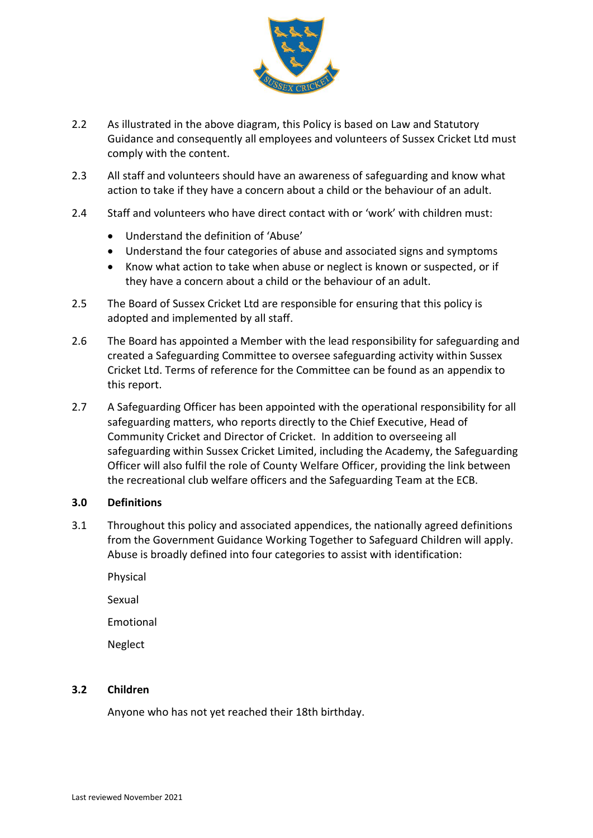

- 2.2 As illustrated in the above diagram, this Policy is based on Law and Statutory Guidance and consequently all employees and volunteers of Sussex Cricket Ltd must comply with the content.
- 2.3 All staff and volunteers should have an awareness of safeguarding and know what action to take if they have a concern about a child or the behaviour of an adult.
- 2.4 Staff and volunteers who have direct contact with or 'work' with children must:
	- Understand the definition of 'Abuse'
	- Understand the four categories of abuse and associated signs and symptoms
	- Know what action to take when abuse or neglect is known or suspected, or if they have a concern about a child or the behaviour of an adult.
- 2.5 The Board of Sussex Cricket Ltd are responsible for ensuring that this policy is adopted and implemented by all staff.
- 2.6 The Board has appointed a Member with the lead responsibility for safeguarding and created a Safeguarding Committee to oversee safeguarding activity within Sussex Cricket Ltd. Terms of reference for the Committee can be found as an appendix to this report.
- 2.7 A Safeguarding Officer has been appointed with the operational responsibility for all safeguarding matters, who reports directly to the Chief Executive, Head of Community Cricket and Director of Cricket. In addition to overseeing all safeguarding within Sussex Cricket Limited, including the Academy, the Safeguarding Officer will also fulfil the role of County Welfare Officer, providing the link between the recreational club welfare officers and the Safeguarding Team at the ECB.

#### **3.0 Definitions**

- 3.1 Throughout this policy and associated appendices, the nationally agreed definitions from the Government Guidance Working Together to Safeguard Children will apply. Abuse is broadly defined into four categories to assist with identification:
	- Physical

Sexual

Emotional

Neglect

# **3.2 Children**

Anyone who has not yet reached their 18th birthday.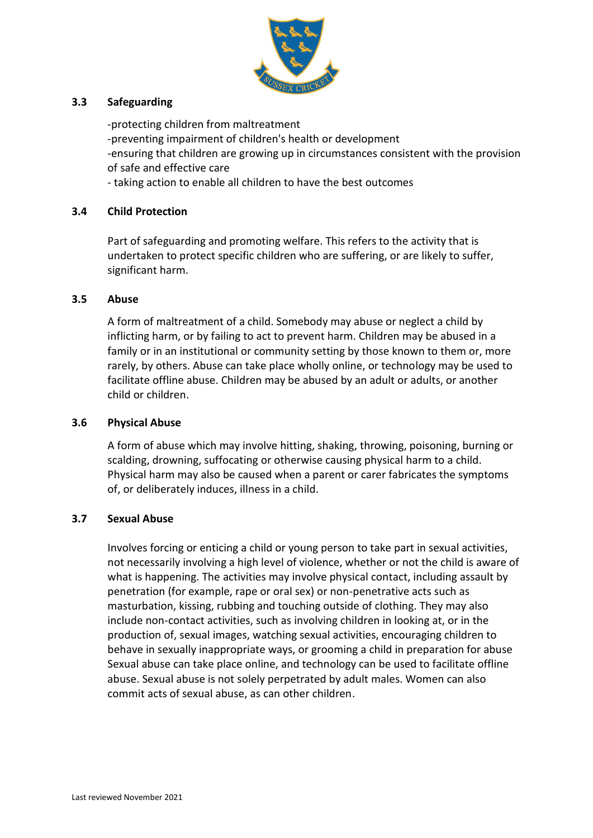

## **3.3 Safeguarding**

-protecting children from maltreatment -preventing impairment of children's health or development -ensuring that children are growing up in circumstances consistent with the provision of safe and effective care

- taking action to enable all children to have the best outcomes

## **3.4 Child Protection**

Part of safeguarding and promoting welfare. This refers to the activity that is undertaken to protect specific children who are suffering, or are likely to suffer, significant harm.

#### **3.5 Abuse**

A form of maltreatment of a child. Somebody may abuse or neglect a child by inflicting harm, or by failing to act to prevent harm. Children may be abused in a family or in an institutional or community setting by those known to them or, more rarely, by others. Abuse can take place wholly online, or technology may be used to facilitate offline abuse. Children may be abused by an adult or adults, or another child or children.

#### **3.6 Physical Abuse**

A form of abuse which may involve hitting, shaking, throwing, poisoning, burning or scalding, drowning, suffocating or otherwise causing physical harm to a child. Physical harm may also be caused when a parent or carer fabricates the symptoms of, or deliberately induces, illness in a child.

#### **3.7 Sexual Abuse**

Involves forcing or enticing a child or young person to take part in sexual activities, not necessarily involving a high level of violence, whether or not the child is aware of what is happening. The activities may involve physical contact, including assault by penetration (for example, rape or oral sex) or non-penetrative acts such as masturbation, kissing, rubbing and touching outside of clothing. They may also include non-contact activities, such as involving children in looking at, or in the production of, sexual images, watching sexual activities, encouraging children to behave in sexually inappropriate ways, or grooming a child in preparation for abuse Sexual abuse can take place online, and technology can be used to facilitate offline abuse. Sexual abuse is not solely perpetrated by adult males. Women can also commit acts of sexual abuse, as can other children.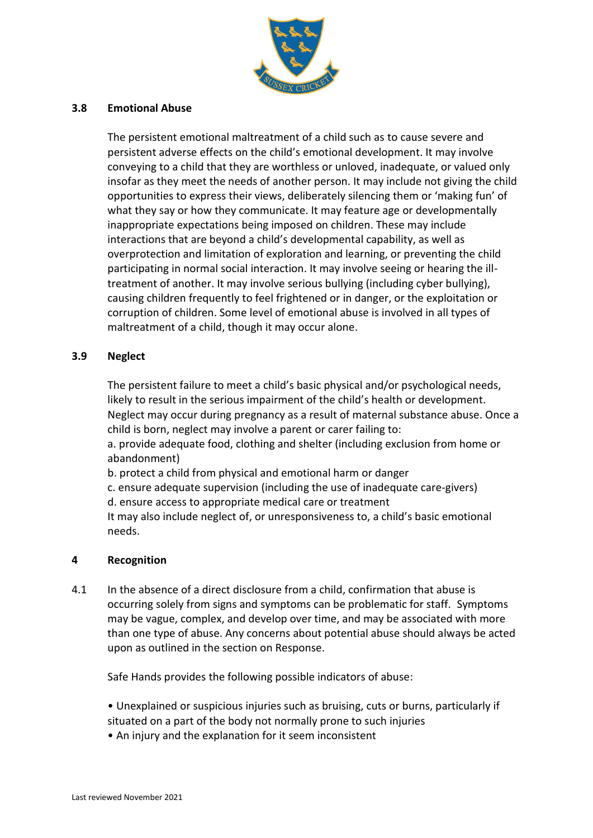

## **3.8 Emotional Abuse**

The persistent emotional maltreatment of a child such as to cause severe and persistent adverse effects on the child's emotional development. It may involve conveying to a child that they are worthless or unloved, inadequate, or valued only insofar as they meet the needs of another person. It may include not giving the child opportunities to express their views, deliberately silencing them or 'making fun' of what they say or how they communicate. It may feature age or developmentally inappropriate expectations being imposed on children. These may include interactions that are beyond a child's developmental capability, as well as overprotection and limitation of exploration and learning, or preventing the child participating in normal social interaction. It may involve seeing or hearing the illtreatment of another. It may involve serious bullying (including cyber bullying), causing children frequently to feel frightened or in danger, or the exploitation or corruption of children. Some level of emotional abuse is involved in all types of maltreatment of a child, though it may occur alone.

## **3.9 Neglect**

The persistent failure to meet a child's basic physical and/or psychological needs, likely to result in the serious impairment of the child's health or development. Neglect may occur during pregnancy as a result of maternal substance abuse. Once a child is born, neglect may involve a parent or carer failing to:

a. provide adequate food, clothing and shelter (including exclusion from home or abandonment)

b. protect a child from physical and emotional harm or danger

c. ensure adequate supervision (including the use of inadequate care-givers)

d. ensure access to appropriate medical care or treatment

It may also include neglect of, or unresponsiveness to, a child's basic emotional needs.

#### **4 Recognition**

4.1 In the absence of a direct disclosure from a child, confirmation that abuse is occurring solely from signs and symptoms can be problematic for staff. Symptoms may be vague, complex, and develop over time, and may be associated with more than one type of abuse. Any concerns about potential abuse should always be acted upon as outlined in the section on Response.

Safe Hands provides the following possible indicators of abuse:

• Unexplained or suspicious injuries such as bruising, cuts or burns, particularly if situated on a part of the body not normally prone to such injuries

• An injury and the explanation for it seem inconsistent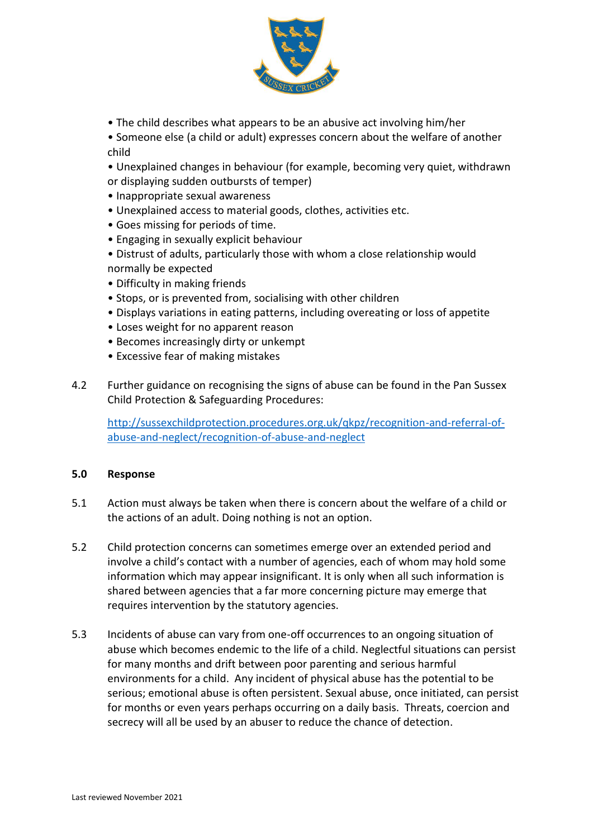

- The child describes what appears to be an abusive act involving him/her
- Someone else (a child or adult) expresses concern about the welfare of another child
- Unexplained changes in behaviour (for example, becoming very quiet, withdrawn or displaying sudden outbursts of temper)
- Inappropriate sexual awareness
- Unexplained access to material goods, clothes, activities etc.
- Goes missing for periods of time.
- Engaging in sexually explicit behaviour
- Distrust of adults, particularly those with whom a close relationship would normally be expected
- Difficulty in making friends
- Stops, or is prevented from, socialising with other children
- Displays variations in eating patterns, including overeating or loss of appetite
- Loses weight for no apparent reason
- Becomes increasingly dirty or unkempt
- Excessive fear of making mistakes
- 4.2 Further guidance on recognising the signs of abuse can be found in the Pan Sussex Child Protection & Safeguarding Procedures:

[http://sussexchildprotection.procedures.org.uk/qkpz/recognition-and-referral-of](http://sussexchildprotection.procedures.org.uk/qkpz/recognition-and-referral-of-abuse-and-neglect/recognition-of-abuse-and-neglect)[abuse-and-neglect/recognition-of-abuse-and-neglect](http://sussexchildprotection.procedures.org.uk/qkpz/recognition-and-referral-of-abuse-and-neglect/recognition-of-abuse-and-neglect)

# **5.0 Response**

- 5.1 Action must always be taken when there is concern about the welfare of a child or the actions of an adult. Doing nothing is not an option.
- 5.2 Child protection concerns can sometimes emerge over an extended period and involve a child's contact with a number of agencies, each of whom may hold some information which may appear insignificant. It is only when all such information is shared between agencies that a far more concerning picture may emerge that requires intervention by the statutory agencies.
- 5.3 Incidents of abuse can vary from one-off occurrences to an ongoing situation of abuse which becomes endemic to the life of a child. Neglectful situations can persist for many months and drift between poor parenting and serious harmful environments for a child. Any incident of physical abuse has the potential to be serious; emotional abuse is often persistent. Sexual abuse, once initiated, can persist for months or even years perhaps occurring on a daily basis. Threats, coercion and secrecy will all be used by an abuser to reduce the chance of detection.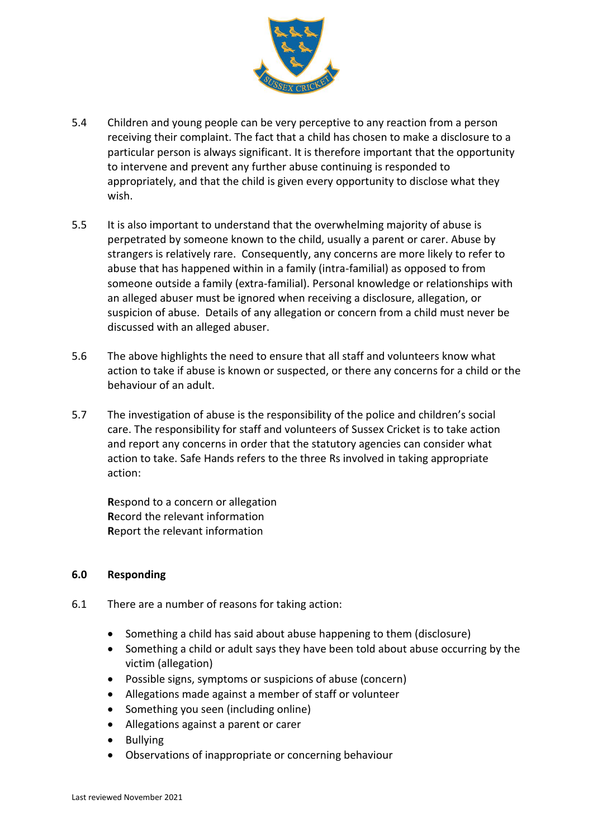

- 5.4 Children and young people can be very perceptive to any reaction from a person receiving their complaint. The fact that a child has chosen to make a disclosure to a particular person is always significant. It is therefore important that the opportunity to intervene and prevent any further abuse continuing is responded to appropriately, and that the child is given every opportunity to disclose what they wish.
- 5.5 It is also important to understand that the overwhelming majority of abuse is perpetrated by someone known to the child, usually a parent or carer. Abuse by strangers is relatively rare. Consequently, any concerns are more likely to refer to abuse that has happened within in a family (intra-familial) as opposed to from someone outside a family (extra-familial). Personal knowledge or relationships with an alleged abuser must be ignored when receiving a disclosure, allegation, or suspicion of abuse. Details of any allegation or concern from a child must never be discussed with an alleged abuser.
- 5.6 The above highlights the need to ensure that all staff and volunteers know what action to take if abuse is known or suspected, or there any concerns for a child or the behaviour of an adult.
- 5.7 The investigation of abuse is the responsibility of the police and children's social care. The responsibility for staff and volunteers of Sussex Cricket is to take action and report any concerns in order that the statutory agencies can consider what action to take. Safe Hands refers to the three Rs involved in taking appropriate action:

**R**espond to a concern or allegation **R**ecord the relevant information **R**eport the relevant information

#### **6.0 Responding**

- 6.1 There are a number of reasons for taking action:
	- Something a child has said about abuse happening to them (disclosure)
	- Something a child or adult says they have been told about abuse occurring by the victim (allegation)
	- Possible signs, symptoms or suspicions of abuse (concern)
	- Allegations made against a member of staff or volunteer
	- Something you seen (including online)
	- Allegations against a parent or carer
	- Bullying
	- Observations of inappropriate or concerning behaviour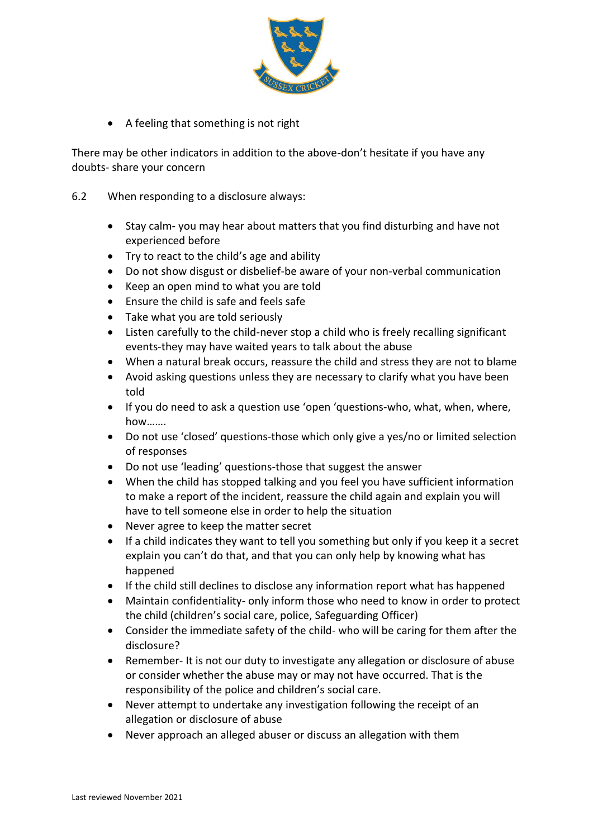

• A feeling that something is not right

There may be other indicators in addition to the above-don't hesitate if you have any doubts- share your concern

- 6.2 When responding to a disclosure always:
	- Stay calm- you may hear about matters that you find disturbing and have not experienced before
	- Try to react to the child's age and ability
	- Do not show disgust or disbelief-be aware of your non-verbal communication
	- Keep an open mind to what you are told
	- Ensure the child is safe and feels safe
	- Take what you are told seriously
	- Listen carefully to the child-never stop a child who is freely recalling significant events-they may have waited years to talk about the abuse
	- When a natural break occurs, reassure the child and stress they are not to blame
	- Avoid asking questions unless they are necessary to clarify what you have been told
	- If you do need to ask a question use 'open 'questions-who, what, when, where, how…….
	- Do not use 'closed' questions-those which only give a yes/no or limited selection of responses
	- Do not use 'leading' questions-those that suggest the answer
	- When the child has stopped talking and you feel you have sufficient information to make a report of the incident, reassure the child again and explain you will have to tell someone else in order to help the situation
	- Never agree to keep the matter secret
	- If a child indicates they want to tell you something but only if you keep it a secret explain you can't do that, and that you can only help by knowing what has happened
	- If the child still declines to disclose any information report what has happened
	- Maintain confidentiality- only inform those who need to know in order to protect the child (children's social care, police, Safeguarding Officer)
	- Consider the immediate safety of the child- who will be caring for them after the disclosure?
	- Remember- It is not our duty to investigate any allegation or disclosure of abuse or consider whether the abuse may or may not have occurred. That is the responsibility of the police and children's social care.
	- Never attempt to undertake any investigation following the receipt of an allegation or disclosure of abuse
	- Never approach an alleged abuser or discuss an allegation with them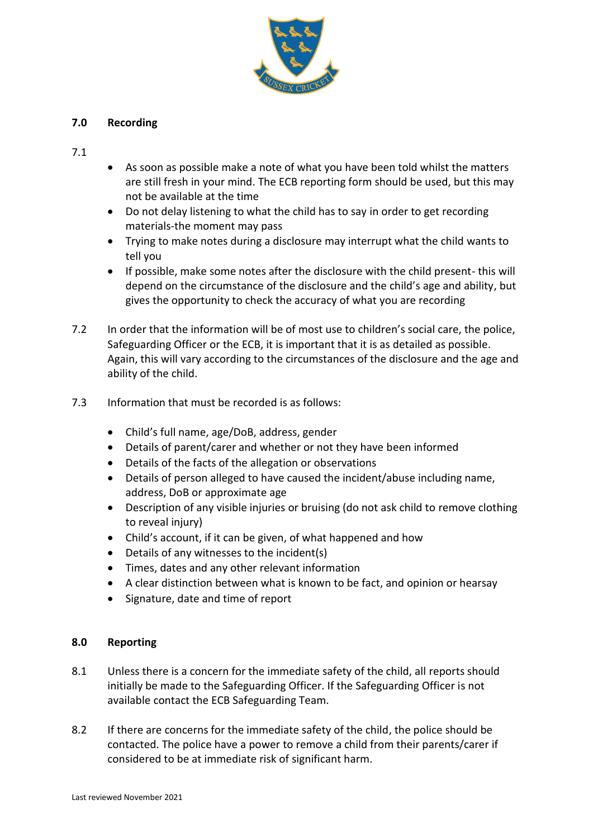

# **7.0 Recording**

7.1

- As soon as possible make a note of what you have been told whilst the matters are still fresh in your mind. The ECB reporting form should be used, but this may not be available at the time
- Do not delay listening to what the child has to say in order to get recording materials-the moment may pass
- Trying to make notes during a disclosure may interrupt what the child wants to tell you
- If possible, make some notes after the disclosure with the child present- this will depend on the circumstance of the disclosure and the child's age and ability, but gives the opportunity to check the accuracy of what you are recording
- 7.2 In order that the information will be of most use to children's social care, the police, Safeguarding Officer or the ECB, it is important that it is as detailed as possible. Again, this will vary according to the circumstances of the disclosure and the age and ability of the child.
- 7.3 Information that must be recorded is as follows:
	- Child's full name, age/DoB, address, gender
	- Details of parent/carer and whether or not they have been informed
	- Details of the facts of the allegation or observations
	- Details of person alleged to have caused the incident/abuse including name, address, DoB or approximate age
	- Description of any visible injuries or bruising (do not ask child to remove clothing to reveal injury)
	- Child's account, if it can be given, of what happened and how
	- Details of any witnesses to the incident(s)
	- Times, dates and any other relevant information
	- A clear distinction between what is known to be fact, and opinion or hearsay
	- Signature, date and time of report

# **8.0 Reporting**

- 8.1 Unless there is a concern for the immediate safety of the child, all reports should initially be made to the Safeguarding Officer. If the Safeguarding Officer is not available contact the ECB Safeguarding Team.
- 8.2 If there are concerns for the immediate safety of the child, the police should be contacted. The police have a power to remove a child from their parents/carer if considered to be at immediate risk of significant harm.